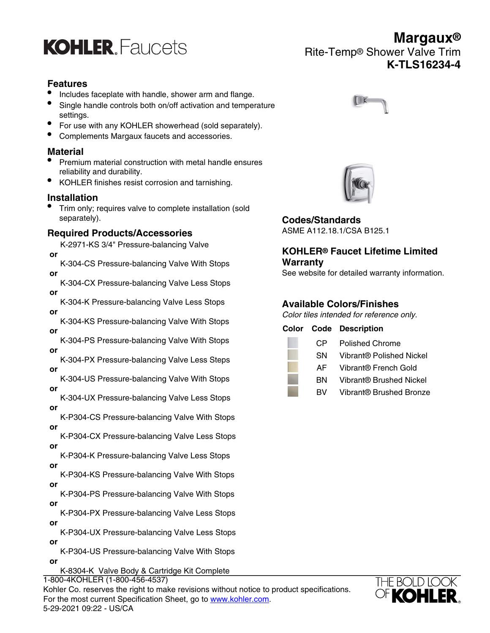

## **Features**

- Includes faceplate with handle, shower arm and flange.
- Single handle controls both on/off activation and temperature settings.
- For use with any KOHLER showerhead (sold separately).
- Complements Margaux faucets and accessories.

### **Material**

- Premium material construction with metal handle ensures reliability and durability.
- KOHLER finishes resist corrosion and tarnishing.

### **Installation**

• Trim only; requires valve to complete installation (sold separately).

### **Required Products/Accessories**

- K-2971-KS 3/4" Pressure-balancing Valve  **or**
- K-304-CS Pressure-balancing Valve With Stops  **or**
- K-304-CX Pressure-balancing Valve Less Stops  **or**
- K-304-K Pressure-balancing Valve Less Stops  **or**
- K-304-KS Pressure-balancing Valve With Stops  **or**
- K-304-PS Pressure-balancing Valve With Stops  **or**
- K-304-PX Pressure-balancing Valve Less Steps  **or**
- K-304-US Pressure-balancing Valve With Stops  **or**
- K-304-UX Pressure-balancing Valve Less Stops  **or**
- K-P304-CS Pressure-balancing Valve With Stops  **or**
- K-P304-CX Pressure-balancing Valve Less Stops  **or**
- K-P304-K Pressure-balancing Valve Less Stops  **or**
- K-P304-KS Pressure-balancing Valve With Stops  **or**
- K-P304-PS Pressure-balancing Valve With Stops  **or**
- K-P304-PX Pressure-balancing Valve Less Stops  **or**
- K-P304-UX Pressure-balancing Valve Less Stops  **or**
- K-P304-US Pressure-balancing Valve With Stops  **or**
	- K-8304-K Valve Body & Cartridge Kit Complete

 **or** 1-800-4KOHLER (1-800-456-4537) Kohler Co. reserves the right to make revisions without notice to product specifications. For the most current Specification Sheet, go to [www.kohler.com](http://www.kohler.com). 5-29-2021 09:22 - US/CA



Rite-Temp® Shower Valve Trim

**Margaux®**

**K-TLS16234-4**



**Codes/Standards** ASME A112.18.1/CSA B125.1

# **KOHLER® Faucet Lifetime Limited Warranty**

See website for detailed warranty information.

### **Available Colors/Finishes**

Color tiles intended for reference only.

|     | <b>Color Code Description</b>       |
|-----|-------------------------------------|
| CP. | Polished Chrome                     |
| SN  | Vibrant® Polished Nickel            |
| AFI | Vibrant® French Gold                |
| вN  | Vibrant <sup>®</sup> Brushed Nickel |
| RV. | Vibrant <sup>®</sup> Brushed Bronze |